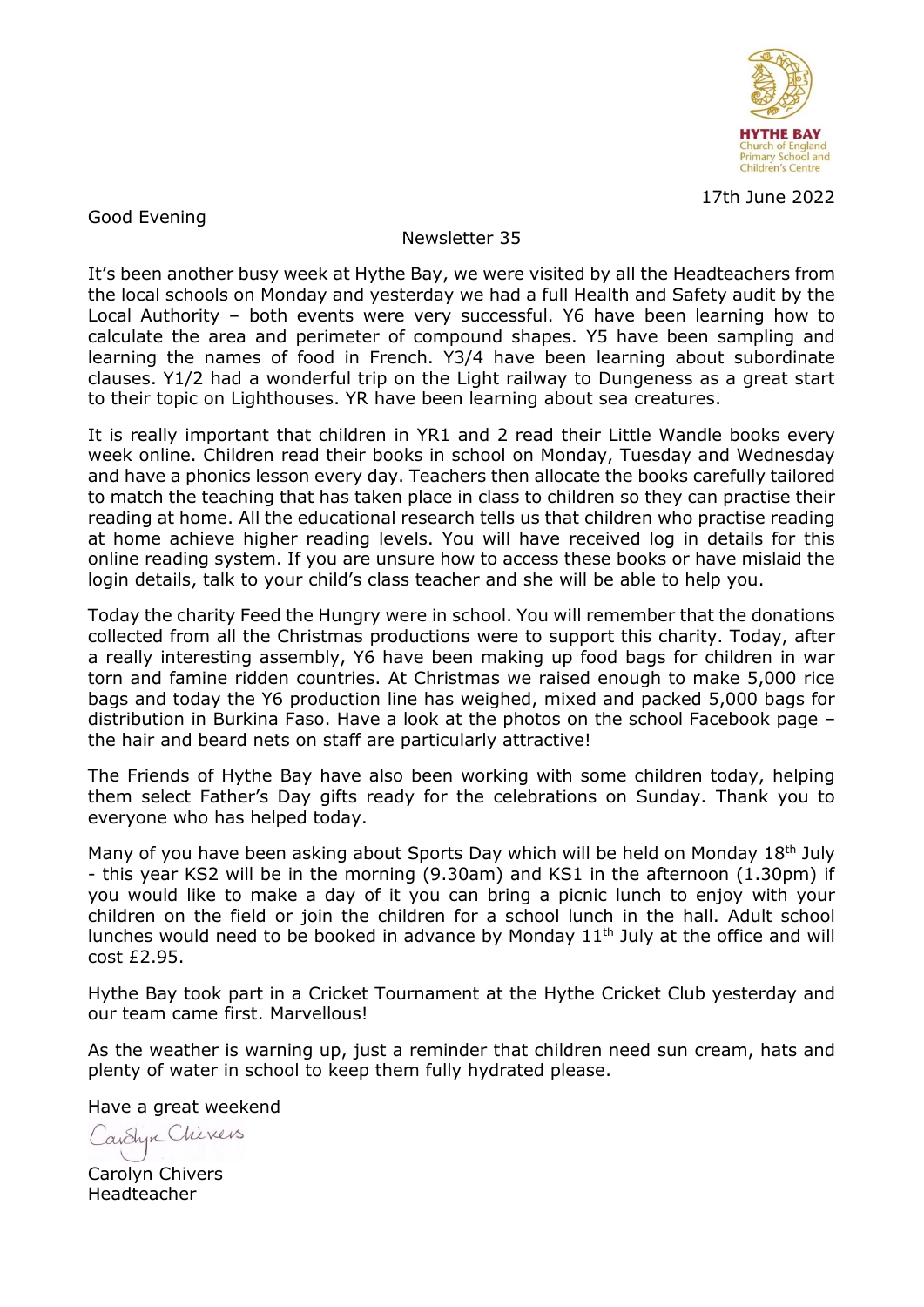

17th June 2022

Good Evening

## Newsletter 35

It's been another busy week at Hythe Bay, we were visited by all the Headteachers from the local schools on Monday and yesterday we had a full Health and Safety audit by the Local Authority – both events were very successful. Y6 have been learning how to calculate the area and perimeter of compound shapes. Y5 have been sampling and learning the names of food in French. Y3/4 have been learning about subordinate clauses. Y1/2 had a wonderful trip on the Light railway to Dungeness as a great start to their topic on Lighthouses. YR have been learning about sea creatures.

It is really important that children in YR1 and 2 read their Little Wandle books every week online. Children read their books in school on Monday, Tuesday and Wednesday and have a phonics lesson every day. Teachers then allocate the books carefully tailored to match the teaching that has taken place in class to children so they can practise their reading at home. All the educational research tells us that children who practise reading at home achieve higher reading levels. You will have received log in details for this online reading system. If you are unsure how to access these books or have mislaid the login details, talk to your child's class teacher and she will be able to help you.

Today the charity Feed the Hungry were in school. You will remember that the donations collected from all the Christmas productions were to support this charity. Today, after a really interesting assembly, Y6 have been making up food bags for children in war torn and famine ridden countries. At Christmas we raised enough to make 5,000 rice bags and today the Y6 production line has weighed, mixed and packed 5,000 bags for distribution in Burkina Faso. Have a look at the photos on the school Facebook page – the hair and beard nets on staff are particularly attractive!

The Friends of Hythe Bay have also been working with some children today, helping them select Father's Day gifts ready for the celebrations on Sunday. Thank you to everyone who has helped today.

Many of you have been asking about Sports Day which will be held on Monday 18<sup>th</sup> July - this year KS2 will be in the morning (9.30am) and KS1 in the afternoon (1.30pm) if you would like to make a day of it you can bring a picnic lunch to enjoy with your children on the field or join the children for a school lunch in the hall. Adult school lunches would need to be booked in advance by Monday 11<sup>th</sup> July at the office and will cost £2.95.

Hythe Bay took part in a Cricket Tournament at the Hythe Cricket Club yesterday and our team came first. Marvellous!

As the weather is warning up, just a reminder that children need sun cream, hats and plenty of water in school to keep them fully hydrated please.

Have a great weekend

Cavelyn Chivers

Carolyn Chivers Headteacher